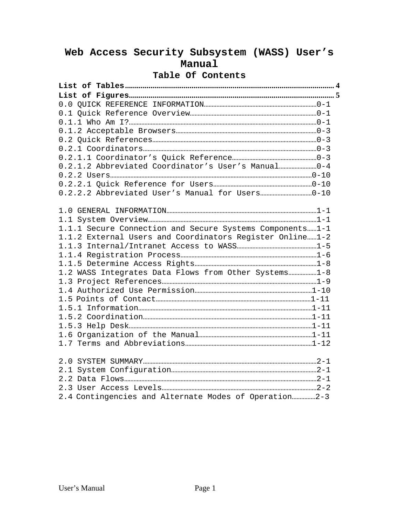## **Web Access Security Subsystem (WASS) User's Manual**

## **Table Of Contents**

| 0.2.1.2 Abbreviated Coordinator's User's Manual0-4         |  |
|------------------------------------------------------------|--|
|                                                            |  |
|                                                            |  |
|                                                            |  |
|                                                            |  |
|                                                            |  |
| 1.1.1 Secure Connection and Secure Systems Components1-1   |  |
| 1.1.2 External Users and Coordinators Register Online  1-2 |  |
|                                                            |  |
|                                                            |  |
|                                                            |  |
| 1.2 WASS Integrates Data Flows from Other Systems1-8       |  |
|                                                            |  |
|                                                            |  |
|                                                            |  |
|                                                            |  |
|                                                            |  |
|                                                            |  |
|                                                            |  |
|                                                            |  |
|                                                            |  |
|                                                            |  |
|                                                            |  |
|                                                            |  |
|                                                            |  |
| 2.4 Contingencies and Alternate Modes of Operation2-3      |  |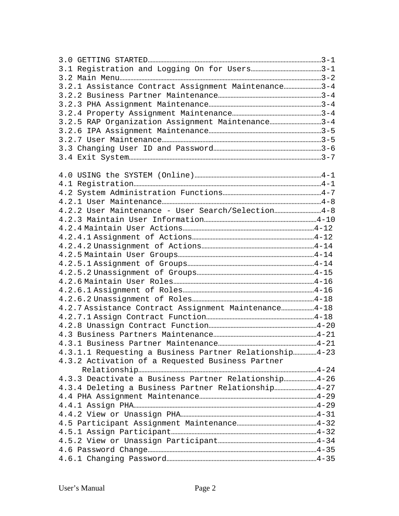| 3.2.1 Assistance Contract Assignment Maintenance3-4    |  |
|--------------------------------------------------------|--|
|                                                        |  |
|                                                        |  |
|                                                        |  |
| 3.2.5 RAP Organization Assignment Maintenance3-4       |  |
|                                                        |  |
|                                                        |  |
|                                                        |  |
|                                                        |  |
|                                                        |  |
|                                                        |  |
|                                                        |  |
|                                                        |  |
|                                                        |  |
| 4.2.2 User Maintenance - User Search/Selection4-8      |  |
|                                                        |  |
|                                                        |  |
|                                                        |  |
|                                                        |  |
|                                                        |  |
|                                                        |  |
|                                                        |  |
|                                                        |  |
|                                                        |  |
|                                                        |  |
|                                                        |  |
| 4.2.7 Assistance Contract Assignment Maintenance4-18   |  |
|                                                        |  |
|                                                        |  |
|                                                        |  |
|                                                        |  |
| 4.3.1.1 Requesting a Business Partner Relationship4-23 |  |
| 4.3.2 Activation of a Requested Business Partner       |  |
|                                                        |  |
| 4.3.3 Deactivate a Business Partner Relationship4-26   |  |
| 4.3.4 Deleting a Business Partner Relationship4-27     |  |
|                                                        |  |
|                                                        |  |
|                                                        |  |
|                                                        |  |
|                                                        |  |
|                                                        |  |
|                                                        |  |
|                                                        |  |
|                                                        |  |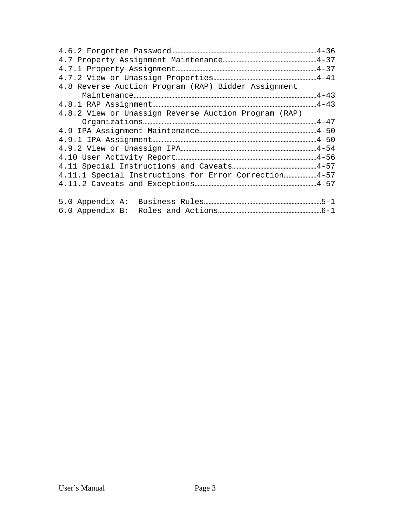| 4.8 Reverse Auction Program (RAP) Bidder Assignment  |  |
|------------------------------------------------------|--|
|                                                      |  |
|                                                      |  |
| 4.8.2 View or Unassign Reverse Auction Program (RAP) |  |
|                                                      |  |
|                                                      |  |
|                                                      |  |
|                                                      |  |
|                                                      |  |
|                                                      |  |
| 4.11.1 Special Instructions for Error Correction4-57 |  |
|                                                      |  |
|                                                      |  |
|                                                      |  |
|                                                      |  |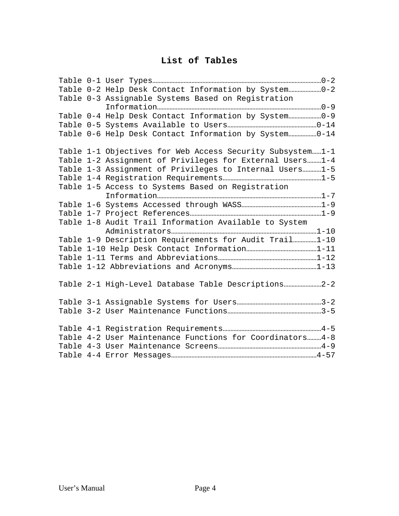## **List of Tables**

| Table 0-2 Help Desk Contact Information by System0-2      |
|-----------------------------------------------------------|
| Table 0-3 Assignable Systems Based on Registration        |
|                                                           |
| Table 0-4 Help Desk Contact Information by System0-9      |
|                                                           |
| Table 0-6 Help Desk Contact Information by System0-14     |
| Table 1-1 Objectives for Web Access Security Subsystem1-1 |
| Table 1-2 Assignment of Privileges for External Users 1-4 |
| Table 1-3 Assignment of Privileges to Internal Users1-5   |
|                                                           |
| Table 1-5 Access to Systems Based on Registration         |
|                                                           |
|                                                           |
|                                                           |
| Table 1-8 Audit Trail Information Available to System     |
|                                                           |
| Table 1-9 Description Requirements for Audit Trail1-10    |
|                                                           |
|                                                           |
|                                                           |
| Table 2-1 High-Level Database Table Descriptions          |
|                                                           |
|                                                           |
|                                                           |
| Table 4-2 User Maintenance Functions for Coordinators4-8  |
|                                                           |
|                                                           |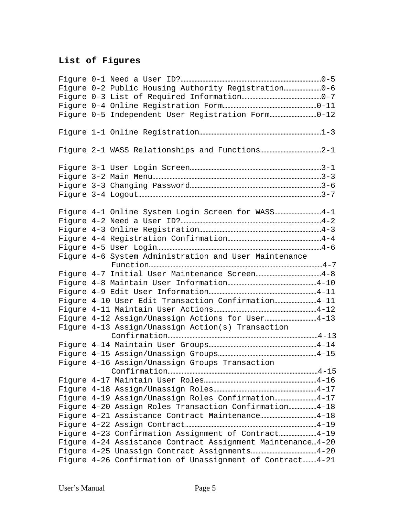## **List of Figures**

| Figure 0-2 Public Housing Authority Registration0-6        |  |
|------------------------------------------------------------|--|
|                                                            |  |
|                                                            |  |
|                                                            |  |
|                                                            |  |
|                                                            |  |
|                                                            |  |
|                                                            |  |
|                                                            |  |
|                                                            |  |
| Figure 4-1 Online System Login Screen for WASS 4-1         |  |
|                                                            |  |
|                                                            |  |
|                                                            |  |
|                                                            |  |
| Figure 4-6 System Administration and User Maintenance      |  |
|                                                            |  |
|                                                            |  |
|                                                            |  |
|                                                            |  |
| Figure 4-10 User Edit Transaction Confirmation4-11         |  |
|                                                            |  |
| Figure 4-12 Assign/Unassign Actions for User4-13           |  |
| Figure 4-13 Assign/Unassign Action(s) Transaction          |  |
|                                                            |  |
|                                                            |  |
|                                                            |  |
| Figure 4-16 Assign/Unassign Groups Transaction             |  |
|                                                            |  |
|                                                            |  |
|                                                            |  |
| Figure 4-19 Assign/Unassign Roles Confirmation4-17         |  |
| Figure 4-20 Assign Roles Transaction Confirmation4-18      |  |
|                                                            |  |
|                                                            |  |
| Figure 4-23 Confirmation Assignment of Contract4-19        |  |
| Figure 4-24 Assistance Contract Assignment Maintenance4-20 |  |
|                                                            |  |
| Figure 4-26 Confirmation of Unassignment of Contract 4-21  |  |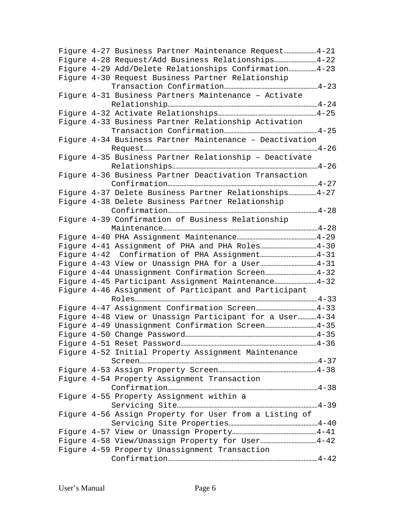|  | Figure 4-27 Business Partner Maintenance Request4-21      |
|--|-----------------------------------------------------------|
|  | Figure 4-28 Request/Add Business Relationships4-22        |
|  | Figure 4-29 Add/Delete Relationships Confirmation4-23     |
|  | Figure 4-30 Request Business Partner Relationship         |
|  |                                                           |
|  | Figure 4-31 Business Partners Maintenance - Activate      |
|  |                                                           |
|  |                                                           |
|  | Figure 4-33 Business Partner Relationship Activation      |
|  |                                                           |
|  | Figure 4-34 Business Partner Maintenance - Deactivation   |
|  |                                                           |
|  | Figure 4-35 Business Partner Relationship - Deactivate    |
|  |                                                           |
|  | Figure 4-36 Business Partner Deactivation Transaction     |
|  |                                                           |
|  | Figure 4-37 Delete Business Partner Relationships4-27     |
|  | Figure 4-38 Delete Business Partner Relationship          |
|  |                                                           |
|  | Figure 4-39 Confirmation of Business Relationship         |
|  |                                                           |
|  |                                                           |
|  |                                                           |
|  |                                                           |
|  |                                                           |
|  | Figure 4-44 Unassignment Confirmation Screen4-32          |
|  | Figure 4-45 Participant Assignment Maintenance4-32        |
|  | Figure 4-46 Assignment of Participant and Participant     |
|  |                                                           |
|  |                                                           |
|  | Figure 4-48 View or Unassign Participant for a User  4-34 |
|  |                                                           |
|  |                                                           |
|  |                                                           |
|  | Figure 4-52 Initial Property Assignment Maintenance       |
|  |                                                           |
|  |                                                           |
|  | Figure 4-54 Property Assignment Transaction               |
|  |                                                           |
|  | Figure 4-55 Property Assignment within a                  |
|  |                                                           |
|  | Figure 4-56 Assign Property for User from a Listing of    |
|  |                                                           |
|  |                                                           |
|  |                                                           |
|  | Figure 4-59 Property Unassignment Transaction             |
|  |                                                           |